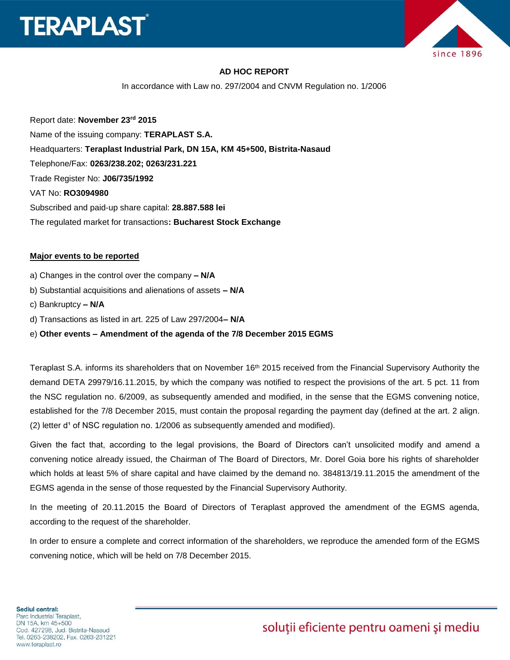



### **AD HOC REPORT**

In accordance with Law no. 297/2004 and CNVM Regulation no. 1/2006

Report date: **November 23 rd 2015** Name of the issuing company: **TERAPLAST S.A.**  Headquarters: **Teraplast Industrial Park, DN 15A, KM 45+500, Bistrita-Nasaud** Telephone/Fax: **0263/238.202; 0263/231.221** Trade Register No: **J06/735/1992** VAT No: **RO3094980** Subscribed and paid-up share capital: **28.887.588 lei** The regulated market for transactions**: Bucharest Stock Exchange**

#### **Major events to be reported**

- a) Changes in the control over the company **– N/A**
- b) Substantial acquisitions and alienations of assets **– N/A**
- c) Bankruptcy **– N/A**
- d) Transactions as listed in art. 225 of Law 297/2004**– N/A**

#### e) **Other events – Amendment of the agenda of the 7/8 December 2015 EGMS**

Teraplast S.A. informs its shareholders that on November 16<sup>th</sup> 2015 received from the Financial Supervisory Authority the demand DETA 29979/16.11.2015, by which the company was notified to respect the provisions of the art. 5 pct. 11 from the NSC regulation no. 6/2009, as subsequently amended and modified, in the sense that the EGMS convening notice, established for the 7/8 December 2015, must contain the proposal regarding the payment day (defined at the art. 2 align.  $(2)$  letter d<sup>1</sup> of NSC regulation no. 1/2006 as subsequently amended and modified).

Given the fact that, according to the legal provisions, the Board of Directors can't unsolicited modify and amend a convening notice already issued, the Chairman of The Board of Directors, Mr. Dorel Goia bore his rights of shareholder which holds at least 5% of share capital and have claimed by the demand no. 384813/19.11.2015 the amendment of the EGMS agenda in the sense of those requested by the Financial Supervisory Authority.

In the meeting of 20.11.2015 the Board of Directors of Teraplast approved the amendment of the EGMS agenda, according to the request of the shareholder.

In order to ensure a complete and correct information of the shareholders, we reproduce the amended form of the EGMS convening notice, which will be held on 7/8 December 2015.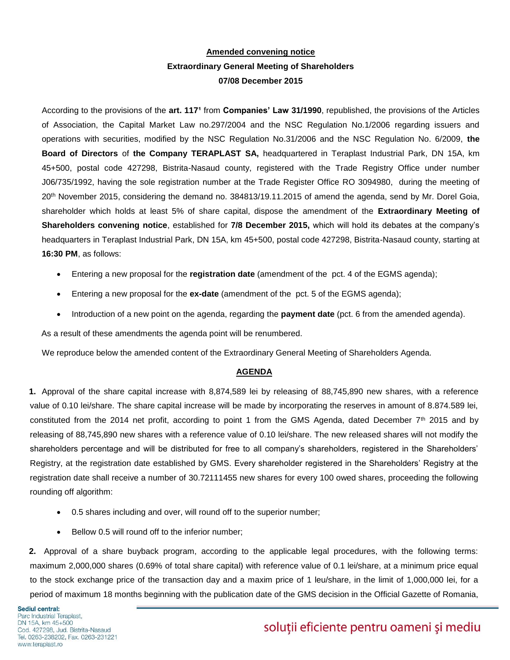## **Amended convening notice Extraordinary General Meeting of Shareholders 07/08 December 2015**

According to the provisions of the art. 117<sup>1</sup> from **Companies' Law 31/1990**, republished, the provisions of the Articles of Association, the Capital Market Law no.297/2004 and the NSC Regulation No.1/2006 regarding issuers and operations with securities, modified by the NSC Regulation No.31/2006 and the NSC Regulation No. 6/2009, **the Board of Directors** of **the Company TERAPLAST SA,** headquartered in Teraplast Industrial Park, DN 15A, km 45+500, postal code 427298, Bistrita-Nasaud county, registered with the Trade Registry Office under number J06/735/1992, having the sole registration number at the Trade Register Office RO 3094980, during the meeting of 20th November 2015, considering the demand no. 384813/19.11.2015 of amend the agenda, send by Mr. Dorel Goia, shareholder which holds at least 5% of share capital, dispose the amendment of the **Extraordinary Meeting of Shareholders convening notice**, established for **7/8 December 2015,** which will hold its debates at the company's headquarters in Teraplast Industrial Park, DN 15A, km 45+500, postal code 427298, Bistrita-Nasaud county, starting at **16:30 PM**, as follows:

- Entering a new proposal for the **registration date** (amendment of the pct. 4 of the EGMS agenda);
- Entering a new proposal for the **ex-date** (amendment of the pct. 5 of the EGMS agenda);
- Introduction of a new point on the agenda, regarding the **payment date** (pct. 6 from the amended agenda).

As a result of these amendments the agenda point will be renumbered.

We reproduce below the amended content of the Extraordinary General Meeting of Shareholders Agenda.

#### **AGENDA**

**1.** Approval of the share capital increase with 8,874,589 lei by releasing of 88,745,890 new shares, with a reference value of 0.10 lei/share. The share capital increase will be made by incorporating the reserves in amount of 8.874.589 lei, constituted from the 2014 net profit, according to point 1 from the GMS Agenda, dated December 7<sup>th</sup> 2015 and by releasing of 88,745,890 new shares with a reference value of 0.10 lei/share. The new released shares will not modify the shareholders percentage and will be distributed for free to all company's shareholders, registered in the Shareholders' Registry, at the registration date established by GMS. Every shareholder registered in the Shareholders' Registry at the registration date shall receive a number of 30.72111455 new shares for every 100 owed shares, proceeding the following rounding off algorithm:

- 0.5 shares including and over, will round off to the superior number;
- Bellow 0.5 will round off to the inferior number;

**2.** Approval of a share buyback program, according to the applicable legal procedures, with the following terms: maximum 2,000,000 shares (0.69% of total share capital) with reference value of 0.1 lei/share, at a minimum price equal to the stock exchange price of the transaction day and a maxim price of 1 leu/share, in the limit of 1,000,000 lei, for a period of maximum 18 months beginning with the publication date of the GMS decision in the Official Gazette of Romania,

# soluții eficiente pentru oameni și mediu